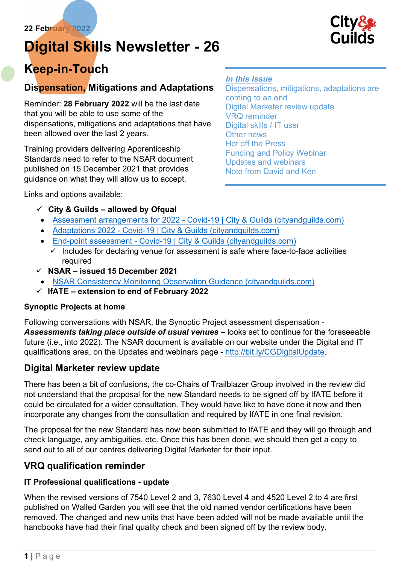# Digital Skills Newsletter - 26



# Keep-in-Touch

# Dispensation, Mitigations and Adaptations

Reminder: 28 February 2022 will be the last date that you will be able to use some of the dispensations, mitigations and adaptations that have been allowed over the last 2 years.

Training providers delivering Apprenticeship Standards need to refer to the NSAR document published on 15 December 2021 that provides guidance on what they will allow us to accept.

Links and options available:

## In this Issue

Dispensations, mitigations, adaptations are coming to an end Digital Marketer review update VRQ reminder Digital skills / IT user Other news Hot off the Press Funding and Policy Webinar Updates and webinars Note from David and Ken

- $\checkmark$  City & Guilds allowed by Ofqual
- Assessment arrangements for 2022 Covid-19 | City & Guilds (cityandguilds.com)
- Adaptations 2022 Covid-19 | City & Guilds (cityandguilds.com)
- End-point assessment Covid-19 | City & Guilds (cityandguilds.com)
- $\checkmark$  Includes for declaring venue for assessment is safe where face-to-face activities required
- $\checkmark$  NSAR issued 15 December 2021
	- NSAR Consistency Monitoring Observation Guidance (cityandguilds.com)
- $\checkmark$  IfATE extension to end of February 2022

## Synoptic Projects at home

Following conversations with NSAR, the Synoptic Project assessment dispensation - Assessments taking place outside of usual venues - looks set to continue for the foreseeable future (i.e., into 2022). The NSAR document is available on our website under the Digital and IT qualifications area, on the Updates and webinars page - http://bit.ly/CGDigitalUpdate.

# Digital Marketer review update

There has been a bit of confusions, the co-Chairs of Trailblazer Group involved in the review did not understand that the proposal for the new Standard needs to be signed off by IfATE before it could be circulated for a wider consultation. They would have like to have done it now and then incorporate any changes from the consultation and required by IfATE in one final revision.

The proposal for the new Standard has now been submitted to IfATE and they will go through and check language, any ambiguities, etc. Once this has been done, we should then get a copy to send out to all of our centres delivering Digital Marketer for their input.

# VRQ qualification reminder

# IT Professional qualifications - update

When the revised versions of 7540 Level 2 and 3, 7630 Level 4 and 4520 Level 2 to 4 are first published on Walled Garden you will see that the old named vendor certifications have been removed. The changed and new units that have been added will not be made available until the handbooks have had their final quality check and been signed off by the review body.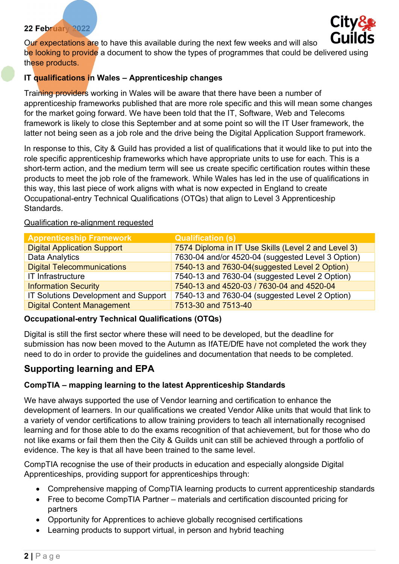

Our expectations are to have this available during the next few weeks and will also be looking to provide a document to show the types of programmes that could be delivered using these products.

## IT qualifications in Wales - Apprenticeship changes

Training providers working in Wales will be aware that there have been a number of apprenticeship frameworks published that are more role specific and this will mean some changes for the market going forward. We have been told that the IT, Software, Web and Telecoms framework is likely to close this September and at some point so will the IT User framework, the latter not being seen as a job role and the drive being the Digital Application Support framework.

In response to this, City & Guild has provided a list of qualifications that it would like to put into the role specific apprenticeship frameworks which have appropriate units to use for each. This is a short-term action, and the medium term will see us create specific certification routes within these products to meet the job role of the framework. While Wales has led in the use of qualifications in this way, this last piece of work aligns with what is now expected in England to create Occupational-entry Technical Qualifications (OTQs) that align to Level 3 Apprenticeship Standards.

## Apprenticeship Framework Qualification (s) Digital Application Support 7574 Diploma in IT Use Skills (Level 2 and Level 3) Data Analytics **The Contract Contract 10 and/or 4520-04** (suggested Level 3 Option) Digital Telecommunications **7540-13 and 7630-04**(suggested Level 2 Option) IT Infrastructure 7540-13 and 7630-04 (suggested Level 2 Option) Information Security 7540-13 and 4520-03 / 7630-04 and 4520-04 IT Solutions Development and Support 7540-13 and 7630-04 (suggested Level 2 Option) Digital Content Management 7513-30 and 7513-40

#### Qualification re-alignment requested

## Occupational-entry Technical Qualifications (OTQs)

Digital is still the first sector where these will need to be developed, but the deadline for submission has now been moved to the Autumn as IfATE/DfE have not completed the work they need to do in order to provide the guidelines and documentation that needs to be completed.

# Supporting learning and EPA

## CompTIA – mapping learning to the latest Apprenticeship Standards

We have always supported the use of Vendor learning and certification to enhance the development of learners. In our qualifications we created Vendor Alike units that would that link to a variety of vendor certifications to allow training providers to teach all internationally recognised learning and for those able to do the exams recognition of that achievement, but for those who do not like exams or fail them then the City & Guilds unit can still be achieved through a portfolio of evidence. The key is that all have been trained to the same level.

CompTIA recognise the use of their products in education and especially alongside Digital Apprenticeships, providing support for apprenticeships through:

- Comprehensive mapping of CompTIA learning products to current apprenticeship standards
- Free to become CompTIA Partner materials and certification discounted pricing for partners
- Opportunity for Apprentices to achieve globally recognised certifications
- Learning products to support virtual, in person and hybrid teaching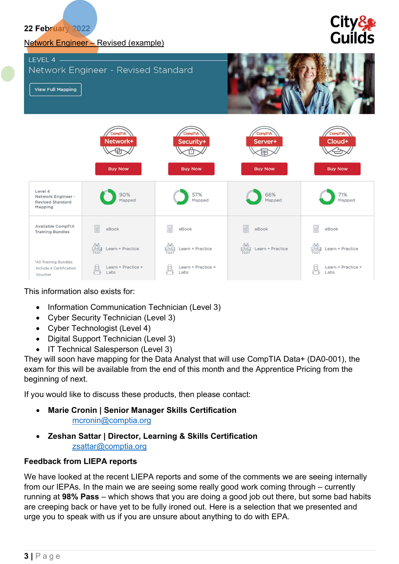#### Network Engineer – Revised (example)

# **City& Guilds**



#### This information also exists for:

- Information Communication Technician (Level 3)
- Cyber Security Technician (Level 3)
- Cyber Technologist (Level 4)
- Digital Support Technician (Level 3)
- IT Technical Salesperson (Level 3)

They will soon have mapping for the Data Analyst that will use CompTIA Data+ (DA0-001), the exam for this will be available from the end of this month and the Apprentice Pricing from the beginning of next.

If you would like to discuss these products, then please contact:

- Marie Cronin | Senior Manager Skills Certification mcronin@comptia.org
- Zeshan Sattar | Director, Learning & Skills Certification zsattar@comptia.org

#### Feedback from LIEPA reports

We have looked at the recent LIEPA reports and some of the comments we are seeing internally from our IEPAs. In the main we are seeing some really good work coming through – currently running at 98% Pass – which shows that you are doing a good job out there, but some bad habits are creeping back or have yet to be fully ironed out. Here is a selection that we presented and urge you to speak with us if you are unsure about anything to do with EPA.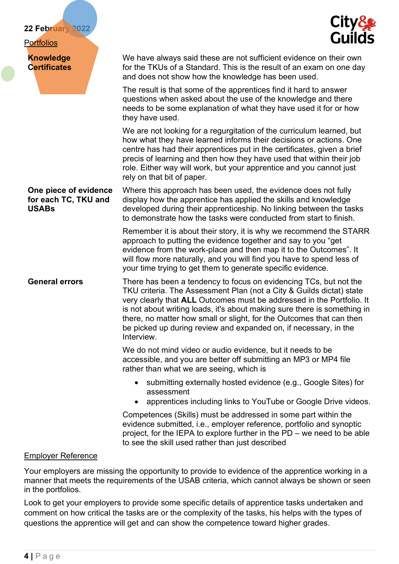#### **Portfolios**

USABs

Knowledge **Certificates** 



We have always said these are not sufficient evidence on their own for the TKUs of a Standard. This is the result of an exam on one day and does not show how the knowledge has been used.

The result is that some of the apprentices find it hard to answer questions when asked about the use of the knowledge and there needs to be some explanation of what they have used it for or how they have used.

We are not looking for a regurgitation of the curriculum learned, but how what they have learned informs their decisions or actions. One centre has had their apprentices put in the certificates, given a brief precis of learning and then how they have used that within their job role. Either way will work, but your apprentice and you cannot just rely on that bit of paper.

One piece of evidence for each TC, TKU and Where this approach has been used, the evidence does not fully display how the apprentice has applied the skills and knowledge developed during their apprenticeship. No linking between the tasks to demonstrate how the tasks were conducted from start to finish.

> Remember it is about their story, it is why we recommend the STARR approach to putting the evidence together and say to you "get evidence from the work-place and then map it to the Outcomes". It will flow more naturally, and you will find you have to spend less of your time trying to get them to generate specific evidence.

General errors There has been a tendency to focus on evidencing TCs, but not the TKU criteria. The Assessment Plan (not a City & Guilds dictat) state very clearly that ALL Outcomes must be addressed in the Portfolio. It is not about writing loads, it's about making sure there is something in there, no matter how small or slight, for the Outcomes that can then be picked up during review and expanded on, if necessary, in the Interview.

> We do not mind video or audio evidence, but it needs to be accessible, and you are better off submitting an MP3 or MP4 file rather than what we are seeing, which is

- submitting externally hosted evidence (e.g., Google Sites) for assessment
- apprentices including links to YouTube or Google Drive videos.

Competences (Skills) must be addressed in some part within the evidence submitted, i.e., employer reference, portfolio and synoptic project, for the IEPA to explore further in the PD – we need to be able to see the skill used rather than just described

#### Employer Reference

Your employers are missing the opportunity to provide to evidence of the apprentice working in a manner that meets the requirements of the USAB criteria, which cannot always be shown or seen in the portfolios.

Look to get your employers to provide some specific details of apprentice tasks undertaken and comment on how critical the tasks are or the complexity of the tasks, his helps with the types of questions the apprentice will get and can show the competence toward higher grades.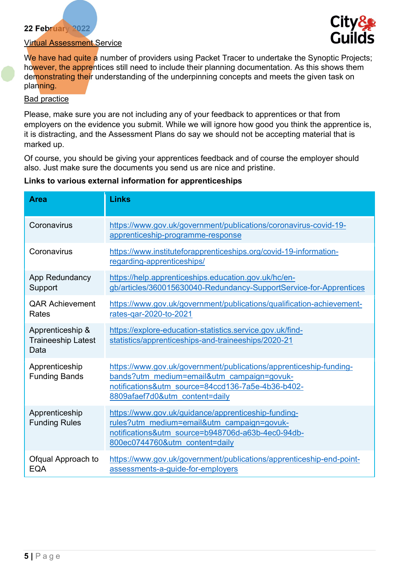

#### Virtual Assessment Service

We have had quite a number of providers using Packet Tracer to undertake the Synoptic Projects; however, the apprentices still need to include their planning documentation. As this shows them demonstrating their understanding of the underpinning concepts and meets the given task on planning.

#### Bad practice

Please, make sure you are not including any of your feedback to apprentices or that from employers on the evidence you submit. While we will ignore how good you think the apprentice is, it is distracting, and the Assessment Plans do say we should not be accepting material that is marked up.

Of course, you should be giving your apprentices feedback and of course the employer should also. Just make sure the documents you send us are nice and pristine.

| <b>Area</b>                                           | <b>Links</b>                                                                                                                                                                                            |  |
|-------------------------------------------------------|---------------------------------------------------------------------------------------------------------------------------------------------------------------------------------------------------------|--|
| Coronavirus                                           | https://www.gov.uk/government/publications/coronavirus-covid-19-<br>apprenticeship-programme-response                                                                                                   |  |
| Coronavirus                                           | https://www.instituteforapprenticeships.org/covid-19-information-<br>regarding-apprenticeships/                                                                                                         |  |
| App Redundancy<br>Support                             | https://help.apprenticeships.education.gov.uk/hc/en-<br>gb/articles/360015630040-Redundancy-SupportService-for-Apprentices                                                                              |  |
| <b>QAR Achievement</b><br>Rates                       | https://www.gov.uk/government/publications/qualification-achievement-<br>rates-qar-2020-to-2021                                                                                                         |  |
| Apprenticeship &<br><b>Traineeship Latest</b><br>Data | https://explore-education-statistics.service.gov.uk/find-<br>statistics/apprenticeships-and-traineeships/2020-21                                                                                        |  |
| Apprenticeship<br><b>Funding Bands</b>                | https://www.gov.uk/government/publications/apprenticeship-funding-<br>bands?utm medium=email&utm campaign=govuk-<br>notifications&utm_source=84ccd136-7a5e-4b36-b402-<br>8809afaef7d0&utm content=daily |  |
| Apprenticeship<br><b>Funding Rules</b>                | https://www.gov.uk/guidance/apprenticeship-funding-<br>rules?utm medium=email&utm campaign=govuk-<br>notifications&utm_source=b948706d-a63b-4ec0-94db-<br>800ec0744760&utm content=daily                |  |
| Ofqual Approach to<br><b>EQA</b>                      | https://www.gov.uk/government/publications/apprenticeship-end-point-<br>assessments-a-guide-for-employers                                                                                               |  |

#### Links to various external information for apprenticeships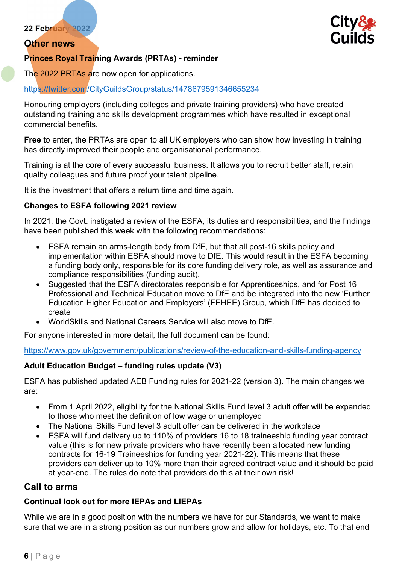## Other news



## Princes Royal Training Awards (PRTAs) - reminder

The 2022 PRTAs are now open for applications.

## https://twitter.com/CityGuildsGroup/status/1478679591346655234

Honouring employers (including colleges and private training providers) who have created outstanding training and skills development programmes which have resulted in exceptional commercial benefits.

Free to enter, the PRTAs are open to all UK employers who can show how investing in training has directly improved their people and organisational performance.

Training is at the core of every successful business. It allows you to recruit better staff, retain quality colleagues and future proof your talent pipeline.

It is the investment that offers a return time and time again.

## Changes to ESFA following 2021 review

In 2021, the Govt. instigated a review of the ESFA, its duties and responsibilities, and the findings have been published this week with the following recommendations:

- ESFA remain an arms-length body from DfE, but that all post-16 skills policy and implementation within ESFA should move to DfE. This would result in the ESFA becoming a funding body only, responsible for its core funding delivery role, as well as assurance and compliance responsibilities (funding audit).
- Suggested that the ESFA directorates responsible for Apprenticeships, and for Post 16 Professional and Technical Education move to DfE and be integrated into the new 'Further Education Higher Education and Employers' (FEHEE) Group, which DfE has decided to create
- WorldSkills and National Careers Service will also move to DfE.

For anyone interested in more detail, the full document can be found:

https://www.gov.uk/government/publications/review-of-the-education-and-skills-funding-agency

## Adult Education Budget – funding rules update (V3)

ESFA has published updated AEB Funding rules for 2021-22 (version 3). The main changes we are:

- From 1 April 2022, eligibility for the National Skills Fund level 3 adult offer will be expanded to those who meet the definition of low wage or unemployed
- The National Skills Fund level 3 adult offer can be delivered in the workplace
- ESFA will fund delivery up to 110% of providers 16 to 18 traineeship funding year contract value (this is for new private providers who have recently been allocated new funding contracts for 16-19 Traineeships for funding year 2021-22). This means that these providers can deliver up to 10% more than their agreed contract value and it should be paid at year-end. The rules do note that providers do this at their own risk!

## Call to arms

## Continual look out for more IEPAs and LIEPAs

While we are in a good position with the numbers we have for our Standards, we want to make sure that we are in a strong position as our numbers grow and allow for holidays, etc. To that end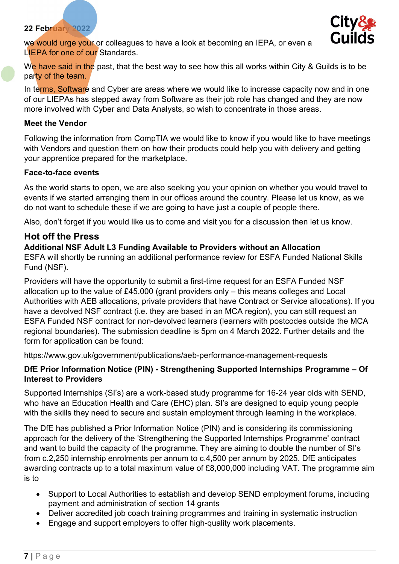

we would urge your or colleagues to have a look at becoming an IEPA, or even a LIEPA for one of our Standards.

We have said in the past, that the best way to see how this all works within City & Guilds is to be party of the team.

In terms, Software and Cyber are areas where we would like to increase capacity now and in one of our LIEPAs has stepped away from Software as their job role has changed and they are now more involved with Cyber and Data Analysts, so wish to concentrate in those areas.

#### Meet the Vendor

Following the information from CompTIA we would like to know if you would like to have meetings with Vendors and question them on how their products could help you with delivery and getting your apprentice prepared for the marketplace.

#### Face-to-face events

As the world starts to open, we are also seeking you your opinion on whether you would travel to events if we started arranging them in our offices around the country. Please let us know, as we do not want to schedule these if we are going to have just a couple of people there.

Also, don't forget if you would like us to come and visit you for a discussion then let us know.

## Hot off the Press

#### Additional NSF Adult L3 Funding Available to Providers without an Allocation

ESFA will shortly be running an additional performance review for ESFA Funded National Skills Fund (NSF).

Providers will have the opportunity to submit a first-time request for an ESFA Funded NSF allocation up to the value of £45,000 (grant providers only – this means colleges and Local Authorities with AEB allocations, private providers that have Contract or Service allocations). If you have a devolved NSF contract (i.e. they are based in an MCA region), you can still request an ESFA Funded NSF contract for non-devolved learners (learners with postcodes outside the MCA regional boundaries). The submission deadline is 5pm on 4 March 2022. Further details and the form for application can be found:

https://www.gov.uk/government/publications/aeb-performance-management-requests

## DfE Prior Information Notice (PIN) - Strengthening Supported Internships Programme – Of Interest to Providers

Supported Internships (SI's) are a work-based study programme for 16-24 year olds with SEND, who have an Education Health and Care (EHC) plan. SI's are designed to equip young people with the skills they need to secure and sustain employment through learning in the workplace.

The DfE has published a Prior Information Notice (PIN) and is considering its commissioning approach for the delivery of the 'Strengthening the Supported Internships Programme' contract and want to build the capacity of the programme. They are aiming to double the number of SI's from c.2,250 internship enrolments per annum to c.4,500 per annum by 2025. DfE anticipates awarding contracts up to a total maximum value of £8,000,000 including VAT. The programme aim is to

- Support to Local Authorities to establish and develop SEND employment forums, including payment and administration of section 14 grants
- Deliver accredited job coach training programmes and training in systematic instruction
- Engage and support employers to offer high-quality work placements.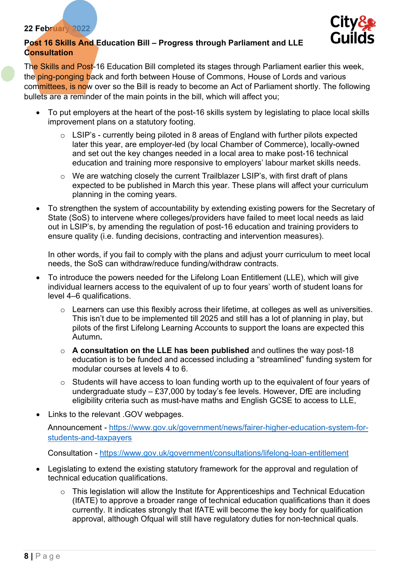

## Post 16 Skills And Education Bill – Progress through Parliament and LLE **Consultation**

The Skills and Post-16 Education Bill completed its stages through Parliament earlier this week, the ping-ponging back and forth between House of Commons, House of Lords and various committees, is now over so the Bill is ready to become an Act of Parliament shortly. The following bullets are a reminder of the main points in the bill, which will affect you;

- To put employers at the heart of the post-16 skills system by legislating to place local skills improvement plans on a statutory footing.
	- $\circ$  LSIP's currently being piloted in 8 areas of England with further pilots expected later this year, are employer-led (by local Chamber of Commerce), locally-owned and set out the key changes needed in a local area to make post-16 technical education and training more responsive to employers' labour market skills needs.
	- o We are watching closely the current Trailblazer LSIP's, with first draft of plans expected to be published in March this year. These plans will affect your curriculum planning in the coming years.
- To strengthen the system of accountability by extending existing powers for the Secretary of State (SoS) to intervene where colleges/providers have failed to meet local needs as laid out in LSIP's, by amending the regulation of post-16 education and training providers to ensure quality (i.e. funding decisions, contracting and intervention measures).

In other words, if you fail to comply with the plans and adjust yourr curriculum to meet local needs, the SoS can withdraw/reduce funding/withdraw contracts.

- To introduce the powers needed for the Lifelong Loan Entitlement (LLE), which will give individual learners access to the equivalent of up to four years' worth of student loans for level 4–6 qualifications.
	- $\circ$  Learners can use this flexibly across their lifetime, at colleges as well as universities. This isn't due to be implemented till 2025 and still has a lot of planning in play, but pilots of the first Lifelong Learning Accounts to support the loans are expected this Autumn.
	- $\circ$  A consultation on the LLE has been published and outlines the way post-18 education is to be funded and accessed including a "streamlined" funding system for modular courses at levels 4 to 6.
	- o Students will have access to loan funding worth up to the equivalent of four years of undergraduate study – £37,000 by today's fee levels. However, DfE are including eligibility criteria such as must-have maths and English GCSE to access to LLE,
- Links to the relevant .GOV webpages.

Announcement - https://www.gov.uk/government/news/fairer-higher-education-system-forstudents-and-taxpayers

Consultation - https://www.gov.uk/government/consultations/lifelong-loan-entitlement

- Legislating to extend the existing statutory framework for the approval and regulation of technical education qualifications.
	- o This legislation will allow the Institute for Apprenticeships and Technical Education (IfATE) to approve a broader range of technical education qualifications than it does currently. It indicates strongly that IfATE will become the key body for qualification approval, although Ofqual will still have regulatory duties for non-technical quals.